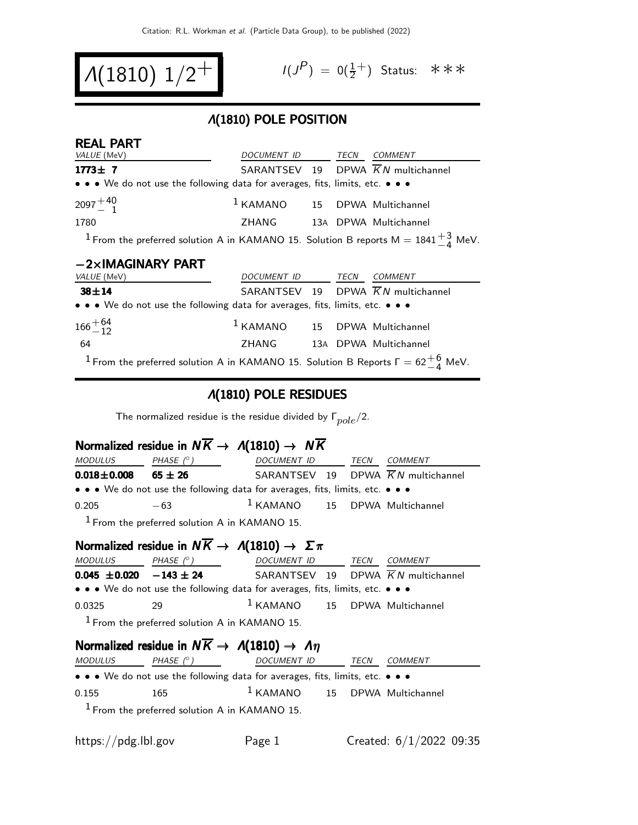$$
\Lambda(1810) \; 1/2^+ \qquad \qquad ^{\!\!\! (10)}
$$

$$
I(J^P) = 0(\frac{1}{2}^+) \quad \text{Status:} \quad \text{*} \quad \text{*} \quad \text{*}
$$

#### Λ(1810) POLE POSITION

| <b>REAL PART</b>                                                                                           |                                          |  |                                                |
|------------------------------------------------------------------------------------------------------------|------------------------------------------|--|------------------------------------------------|
| VALUE (MeV)                                                                                                | DOCUMENT ID TECN COMMENT                 |  |                                                |
| $1773 \pm 7$                                                                                               |                                          |  | SARANTSEV 19 DPWA $\overline{K}N$ multichannel |
| • • • We do not use the following data for averages, fits, limits, etc. • • •                              |                                          |  |                                                |
| $2097 + 40$                                                                                                | <sup>1</sup> KAMANO 15 DPWA Multichannel |  |                                                |
| 1780                                                                                                       | ZHANG 13A DPWA Multichannel              |  |                                                |
| <sup>1</sup> From the preferred solution A in KAMANO 15. Solution B reports M = $1841^{+3}_{-4}$ MeV.      |                                          |  |                                                |
| $-2\times$ IMAGINARY PART                                                                                  |                                          |  |                                                |
| VALUE (MeV)                                                                                                | DOCUMENT ID TECN COMMENT                 |  |                                                |
| $38 + 14$                                                                                                  |                                          |  | SARANTSEV 19 DPWA $\overline{K}N$ multichannel |
| • • • We do not use the following data for averages, fits, limits, etc. • • •                              |                                          |  |                                                |
| $166 + 64$<br>$-12$                                                                                        | $1$ KAMANO $15$ DPWA Multichannel        |  |                                                |
| 64                                                                                                         | ZHANG 13A DPWA Multichannel              |  |                                                |
| <sup>1</sup> From the preferred solution A in KAMANO 15. Solution B Reports $\Gamma = 62\frac{+6}{4}$ MeV. |                                          |  |                                                |

#### Λ(1810) POLE RESIDUES

The normalized residue is the residue divided by  $\Gamma_{pole}/2$ .

# Normalized residue in  $N\overline{K} \rightarrow \Lambda(1810) \rightarrow N\overline{K}$

| <i>MODULUS</i>    | PHASE $(^\circ)$                                                              | DOCUMENT ID TECN                  |  | COMMENT                                        |
|-------------------|-------------------------------------------------------------------------------|-----------------------------------|--|------------------------------------------------|
| $0.018 \pm 0.008$ | $65 \pm 26$                                                                   |                                   |  | SARANTSEV 19 DPWA $\overline{K}N$ multichannel |
|                   | • • • We do not use the following data for averages, fits, limits, etc. • • • |                                   |  |                                                |
| 0.205             | $-63$                                                                         | $1$ KAMANO $15$ DPWA Multichannel |  |                                                |
|                   | $1$ From the preferred solution A in KAMANO 15.                               |                                   |  |                                                |

Normalized residue in  $N\overline{k}$  +  $\Lambda(1010)$  +  $\Sigma$ 

|         |                                                 | Normalized residue in $N \wedge \rightarrow N(1810) \rightarrow Z \pi$        |      |                |
|---------|-------------------------------------------------|-------------------------------------------------------------------------------|------|----------------|
| MODULUS | PHASE $(^\circ)$                                | DOCUMENT ID                                                                   | TECN | <i>COMMENT</i> |
|         | $0.045 \pm 0.020 -143 \pm 24$                   | SARANTSEV 19 DPWA $\overline{K}N$ multichannel                                |      |                |
|         |                                                 | • • • We do not use the following data for averages, fits, limits, etc. • • • |      |                |
| 0.0325  | 29                                              | $1$ KAMANO $15$ DPWA Multichannel                                             |      |                |
|         | $1$ From the preferred solution A in KAMANO 15. |                                                                               |      |                |

# Normalized residue in  $N\overline{K} \rightarrow A(1810) \rightarrow A\eta$

| <i>MODULUS</i> | PHASE $(^\circ)$                                                              | DOCUMENT ID                       | TECN | <i>COMMENT</i> |
|----------------|-------------------------------------------------------------------------------|-----------------------------------|------|----------------|
|                | • • • We do not use the following data for averages, fits, limits, etc. • • • |                                   |      |                |
| 0.155          | 165.                                                                          | $1$ KAMANO $15$ DPWA Multichannel |      |                |
|                | $1$ From the preferred solution A in KAMANO 15.                               |                                   |      |                |

https://pdg.lbl.gov Page 1 Created: 6/1/2022 09:35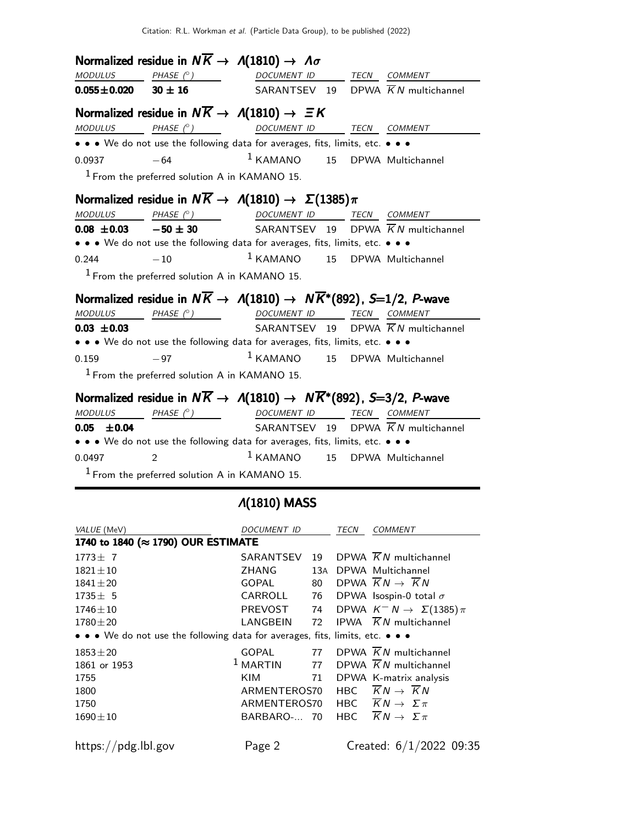|                               | Normalized residue in $N\overline{K} \rightarrow A(1810) \rightarrow A\sigma$                                                                             |                                          |  |                                                |
|-------------------------------|-----------------------------------------------------------------------------------------------------------------------------------------------------------|------------------------------------------|--|------------------------------------------------|
|                               | $\begin{array}{ccccccccc}\textit{MODULUS} & \textit{PHASE}& \texttt{?}) & \textit{DOCUMENT} & \textit{ID} & \textit{TECN} & \textit{COMMENT} \end{array}$ |                                          |  |                                                |
| $0.055 \pm 0.020$ 30 $\pm$ 16 |                                                                                                                                                           |                                          |  | SARANTSEV 19 DPWA $\overline{K}N$ multichannel |
|                               | Normalized residue in $N\overline{K} \rightarrow \Lambda(1810) \rightarrow \Xi K$                                                                         |                                          |  |                                                |
|                               | MODULUS PHASE (°) DOCUMENT ID TECN COMMENT                                                                                                                |                                          |  |                                                |
|                               | • • • We do not use the following data for averages, fits, limits, etc. • • •                                                                             |                                          |  |                                                |
| 0.0937                        | $-64$                                                                                                                                                     | <sup>1</sup> KAMANO 15 DPWA Multichannel |  |                                                |
|                               | $1$ From the preferred solution A in KAMANO 15.                                                                                                           |                                          |  |                                                |
|                               | Normalized residue in $N\overline{K} \to \Lambda(1810) \to \Sigma(1385)\pi$                                                                               |                                          |  |                                                |
| <b>MODULUS</b>                | PHASE (° ) DOCUMENT ID TECN COMMENT                                                                                                                       |                                          |  |                                                |
|                               | <b>0.08 ±0.03</b> $-50 \pm 30$ SARANTSEV 19 DPWA $\overline{K}N$ multichannel                                                                             |                                          |  |                                                |
|                               | • • • We do not use the following data for averages, fits, limits, etc. • • •                                                                             |                                          |  |                                                |
| $-10$<br>0.244                |                                                                                                                                                           | <sup>1</sup> KAMANO 15 DPWA Multichannel |  |                                                |
|                               | $1$ From the preferred solution A in KAMANO 15.                                                                                                           |                                          |  |                                                |
|                               | Normalized residue in $N\overline{K} \to \Lambda(1810) \to N\overline{K}^*(892)$ , S=1/2, P-wave                                                          |                                          |  |                                                |
| <b>MODULUS</b>                | PHASE (° ) DOCUMENT ID TECN COMMENT                                                                                                                       |                                          |  |                                                |
| $0.03 \pm 0.03$               |                                                                                                                                                           |                                          |  | SARANTSEV 19 DPWA $\overline{K}N$ multichannel |
|                               | • • • We do not use the following data for averages, fits, limits, etc. • • •                                                                             |                                          |  |                                                |
| $-97$<br>0.159                |                                                                                                                                                           | <sup>1</sup> KAMANO 15 DPWA Multichannel |  |                                                |
|                               | $1$ From the preferred solution A in KAMANO 15.                                                                                                           |                                          |  |                                                |
|                               | Normalized residue in $N\overline{K} \to \Lambda(1810) \to N\overline{K}^*(892)$ , S=3/2, P-wave                                                          |                                          |  |                                                |
|                               | $\begin{array}{ccccccccc}\textit{MODULUS} & \textit{PHASE}& @ & \textit{DOCUMENT} & \textit{ID} & \textit{TECN} & \textit{COMMENT} \end{array}$           |                                          |  |                                                |
| $0.05 \pm 0.04$               |                                                                                                                                                           |                                          |  | SARANTSEV 19 DPWA $\overline{K}N$ multichannel |
|                               | • • • We do not use the following data for averages, fits, limits, etc. • • •                                                                             |                                          |  |                                                |
| 0.0497                        | $\overline{2}$                                                                                                                                            | <sup>1</sup> KAMANO 15 DPWA Multichannel |  |                                                |

1 From the preferred solution A in KAMANO 15.

## Λ(1810) MASS

| VALUE (MeV)                                                                   | <b>DOCUMENT ID</b> |     |      | <b>COMMENT</b>                             |
|-------------------------------------------------------------------------------|--------------------|-----|------|--------------------------------------------|
| 1740 to 1840 (≈ 1790) OUR ESTIMATE                                            |                    |     |      |                                            |
| $1773 \pm 7$                                                                  | SARANTSEV          | 19  |      | DPWA $\overline{K}N$ multichannel          |
| $1821 \pm 10$                                                                 | ZHANG              | 13A |      | DPWA Multichannel                          |
| $1841 \pm 20$                                                                 | <b>GOPAL</b>       | 80  |      | DPWA $KN \rightarrow KN$                   |
| $1735 \pm 5$                                                                  | CARROLL            | 76  |      | DPWA Isospin-0 total $\sigma$              |
| $1746 \pm 10$                                                                 | <b>PREVOST</b>     | 74  |      | DPWA $K^- N \rightarrow \Sigma(1385)\pi$   |
| $1780 \pm 20$                                                                 | LANGBEIN           | 72  |      | <b>IPWA</b> $\overline{K}N$ multichannel   |
| • • • We do not use the following data for averages, fits, limits, etc. • • • |                    |     |      |                                            |
| $1853 \pm 20$                                                                 | GOPAL              | 77  |      | DPWA $\overline{K}N$ multichannel          |
| 1861 or 1953                                                                  | $1$ MARTIN         | 77  |      | DPWA $\overline{K}N$ multichannel          |
| 1755                                                                          | <b>KIM</b>         | 71  |      | DPWA K-matrix analysis                     |
| 1800                                                                          | ARMENTEROS70       |     | HBC. | $\overline{K}N \rightarrow \overline{K}N$  |
| 1750                                                                          | ARMENTEROS70       |     |      | HBC $KN \rightarrow \Sigma \pi$            |
| $1690 \pm 10$                                                                 | BARBARO- 70        |     |      | HBC $\overline{K}N \rightarrow \Sigma \pi$ |
| https://pdg.lbl.gov                                                           | Page 2             |     |      | Created: $6/1/2022$ 09:35                  |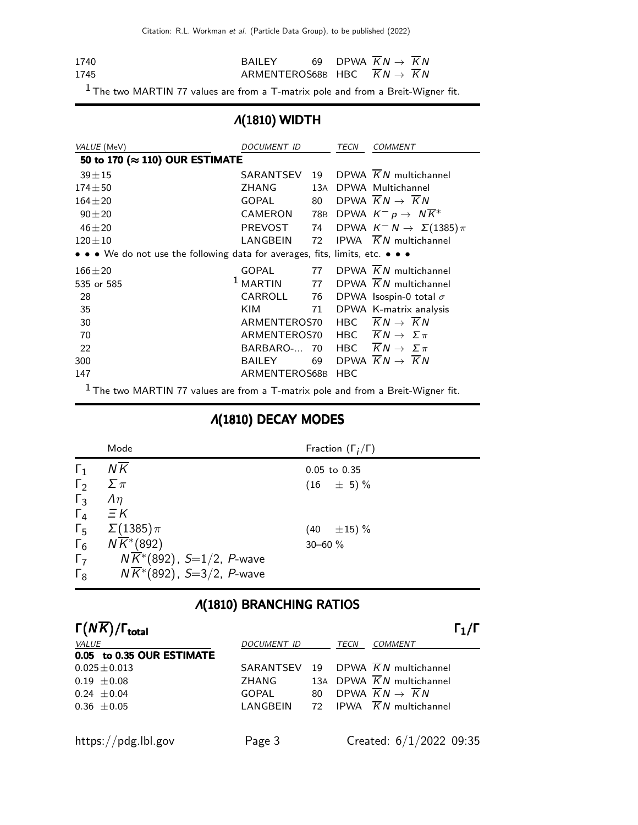Citation: R.L. Workman et al. (Particle Data Group), to be published (2022)

| 1740 | <b>BAILEY</b>                         |  | 69 DPWA $\overline{K}N \rightarrow \overline{K}N$ |  |
|------|---------------------------------------|--|---------------------------------------------------|--|
| 1745 | ARMENTEROS68B HBC $KN \rightarrow KN$ |  |                                                   |  |

 $1$  The two MARTIN 77 values are from a T-matrix pole and from a Breit-Wigner fit.

## Λ(1810) WIDTH

| VALUE (MeV)                                                                        | DOCUMENT ID    |     | TECN       | <b>COMMENT</b>                                 |
|------------------------------------------------------------------------------------|----------------|-----|------------|------------------------------------------------|
| 50 to 170 (≈ 110) OUR ESTIMATE                                                     |                |     |            |                                                |
| $39 + 15$                                                                          | SARANTSEV      | 19  |            | DPWA $KN$ multichannel                         |
| $174 + 50$                                                                         | ZHANG          | 13A |            | DPWA Multichannel                              |
| $164 + 20$                                                                         | <b>GOPAL</b>   | 80  |            | DPWA $\overline{K}N \rightarrow \overline{K}N$ |
| $90 + 20$                                                                          | <b>CAMERON</b> | 78B |            | DPWA $K^- p \rightarrow N K^*$                 |
| $46 + 20$                                                                          | PREVOST        | 74  |            | DPWA $K^- N \rightarrow \Sigma(1385)\pi$       |
| $120 \pm 10$                                                                       | LANGBEIN       | 72  |            | IPWA $\overline{K}N$ multichannel              |
| • • • We do not use the following data for averages, fits, limits, etc. • • •      |                |     |            |                                                |
| $166 + 20$                                                                         | <b>GOPAL</b>   | 77  |            | DPWA $KN$ multichannel                         |
| 535 or 585                                                                         | $1$ MARTIN     | 77  |            | DPWA $\overline{K}N$ multichannel              |
| 28                                                                                 | CARROLL        | 76  |            | DPWA Isospin-0 total $\sigma$                  |
| 35                                                                                 | KIM            | 71  |            | DPWA K-matrix analysis                         |
| 30                                                                                 | ARMENTEROS70   |     |            | HBC $\overline{K}N \rightarrow \overline{K}N$  |
| 70                                                                                 | ARMENTEROS70   |     |            | HBC $\overline{K}N \rightarrow \Sigma \pi$     |
| 22                                                                                 | BARBARO-       | 70  |            | HBC $\overline{K}N \rightarrow \Sigma \pi$     |
| 300                                                                                | <b>BAILEY</b>  | 69  |            | DPWA $\overline{K}N \rightarrow \overline{K}N$ |
| 147                                                                                | ARMENTEROS68B  |     | <b>HBC</b> |                                                |
| $1$ The two MARTIN 77 values are from a T-matrix pole and from a Breit-Wigner fit. |                |     |            |                                                |

## Λ(1810) DECAY MODES

|            | Mode                                   | Fraction $(\Gamma_i/\Gamma)$ |
|------------|----------------------------------------|------------------------------|
| $\Gamma_1$ | ΝK                                     | $0.05$ to $0.35$             |
| $\Gamma_2$ | $\Sigma \pi$                           | $(16 \pm 5)\%$               |
| $\Gamma_3$ | $\Lambda$                              |                              |
| $\Gamma_4$ | $\equiv$ $K$                           |                              |
| $\Gamma_5$ | $\Sigma(1385)\pi$                      | $(40 \pm 15)\%$              |
| $\Gamma_6$ | $N\overline{K}$ <sup>*</sup> (892)     | $30 - 60 \%$                 |
| $\Gamma$   | $N\overline{K}^*(892)$ , S=1/2, P-wave |                              |
| $\Gamma_8$ | $N\overline{K}$ *(892), S=3/2, P-wave  |                              |

# Λ(1810) BRANCHING RATIOS

| $\Gamma(N\overline{K})/\Gamma_{\rm total}$ |              |    |      | $\Gamma_1/\Gamma$                              |
|--------------------------------------------|--------------|----|------|------------------------------------------------|
| <i>VALUE</i>                               | DOCUMENT ID  |    | TECN | <b>COMMENT</b>                                 |
| 0.05 to 0.35 OUR ESTIMATE                  |              |    |      |                                                |
| $0.025 \pm 0.013$                          | SARANTSEV 19 |    |      | DPWA $KN$ multichannel                         |
| $0.19 \pm 0.08$                            | ZHANG        |    |      | 13A DPWA $\overline{K}N$ multichannel          |
| $0.24 \pm 0.04$                            | GOPAL        | 80 |      | DPWA $\overline{K}N \rightarrow \overline{K}N$ |
| $0.36 \pm 0.05$                            | LANGBEIN     |    |      | 72 IPWA $\overline{K}N$ multichannel           |
|                                            |              |    |      |                                                |
| https://pdg.lbl.gov                        | Page 3       |    |      | Created: $6/1/2022$ 09:35                      |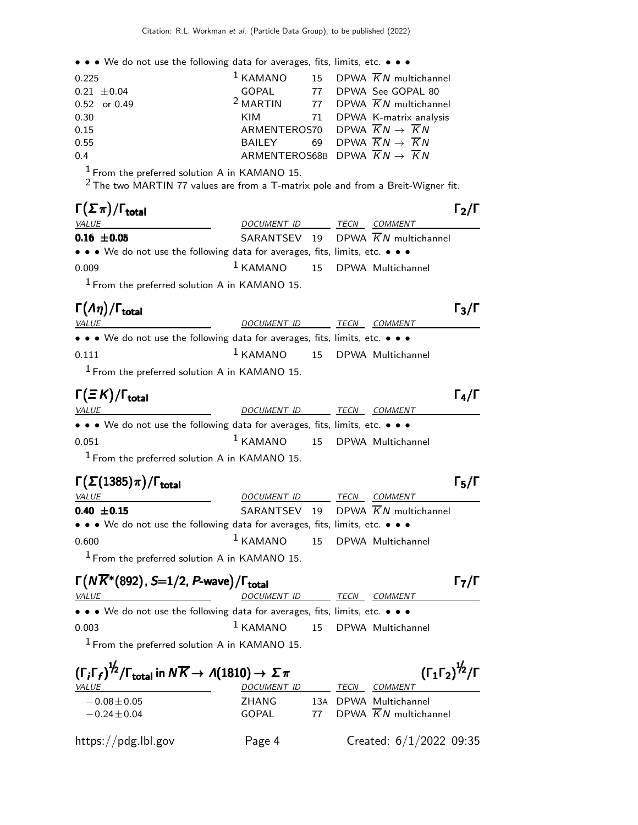• • • We do not use the following data for averages, fits, limits, etc. • • •

| 0.225           |                                                              |  | $1$ KAMANO 15 DPWA $\overline{K}N$ multichannel          |
|-----------------|--------------------------------------------------------------|--|----------------------------------------------------------|
| $0.21 \pm 0.04$ |                                                              |  | GOPAL 77 DPWA See GOPAL 80                               |
| 0.52 or 0.49    |                                                              |  | <sup>2</sup> MARTIN 77 DPWA $\overline{K}N$ multichannel |
| 0.30            |                                                              |  | KIM 71 DPWA K-matrix analysis                            |
| 0.15            | ARMENTEROS70 DPWA $\overline{K}N \rightarrow \overline{K}N$  |  |                                                          |
| 0.55            | BAILEY 69 DPWA $\overline{K}N \rightarrow \overline{K}N$     |  |                                                          |
| 0.4             | ARMENTEROS68B DPWA $\overline{K}N \rightarrow \overline{K}N$ |  |                                                          |

 $1$  From the preferred solution A in KAMANO 15.

 $^2$ The two MARTIN 77 values are from a T-matrix pole and from a Breit-Wigner fit.

| $\Gamma(\Sigma \pi)/\Gamma_{\rm total}$                                       |                                          |      |                                                | $\Gamma_2/\Gamma$ |
|-------------------------------------------------------------------------------|------------------------------------------|------|------------------------------------------------|-------------------|
| <i>VALUE</i>                                                                  | <i>DOCUMENT ID</i>                       | TECN | <i>COMMENT</i>                                 |                   |
| $0.16 \pm 0.05$                                                               |                                          |      | SARANTSEV 19 DPWA $\overline{K}N$ multichannel |                   |
| • • • We do not use the following data for averages, fits, limits, etc. • • • |                                          |      |                                                |                   |
| 0.009                                                                         | <sup>1</sup> KAMANO 15 DPWA Multichannel |      |                                                |                   |
| $1$ From the preferred solution A in KAMANO 15.                               |                                          |      |                                                |                   |

#### Γ $(Aη)/\Gamma$ <sub>total</sub> Γ<sub>3</sub>/Γ

| <i>VALUE</i>                                                                  | DOCUMENT ID                       | TECN | <i>COMMENT</i> |
|-------------------------------------------------------------------------------|-----------------------------------|------|----------------|
| • • • We do not use the following data for averages, fits, limits, etc. • • • |                                   |      |                |
| 0.111                                                                         | $1$ KAMANO $15$ DPWA Multichannel |      |                |
| $1$ From the preferred solution A in KAMANO 15.                               |                                   |      |                |

| $\Gamma(\equiv \cal K)/\Gamma_{\rm total}$                                                                            |                                          |  |                | $\Gamma_{\mathbf{A}}/\Gamma$ |
|-----------------------------------------------------------------------------------------------------------------------|------------------------------------------|--|----------------|------------------------------|
| <i>VALUE</i>                                                                                                          | DOCUMENT ID TECN                         |  | <i>COMMENT</i> |                              |
| $\bullet \bullet \bullet$ We do not use the following data for averages, fits, limits, etc. $\bullet \bullet \bullet$ |                                          |  |                |                              |
| 0.051                                                                                                                 | <sup>1</sup> KAMANO 15 DPWA Multichannel |  |                |                              |
| $1$ From the preferred solution A in KAMANO 15.                                                                       |                                          |  |                |                              |

| $\Gamma(\Sigma(1385)\pi)/\Gamma_{\rm total}$                                                                          |                                 |      |                                                | $\Gamma_5/\Gamma$ |
|-----------------------------------------------------------------------------------------------------------------------|---------------------------------|------|------------------------------------------------|-------------------|
| <b>VALUE</b>                                                                                                          | DOCUMENT ID                     | TECN | COMMENT                                        |                   |
| $0.40 \pm 0.15$                                                                                                       |                                 |      | SARANTSEV 19 DPWA $\overline{K}N$ multichannel |                   |
| $\bullet \bullet \bullet$ We do not use the following data for averages, fits, limits, etc. $\bullet \bullet \bullet$ |                                 |      |                                                |                   |
| 0.600                                                                                                                 | $1$ KAMANO 15 DPWA Multichannel |      |                                                |                   |
| $1$ From the preferred solution A in KAMANO 15.                                                                       |                                 |      |                                                |                   |

# $\Gamma(N\overline{K}^*(892), S=1/2, P\text{-wave})/\Gamma_{\text{total}}$  Γ<sub>7</sub>/Γ

| <i>VALUE</i>                                                                                                                  | DOCUMENT ID TECN                  |  | <i>COMMENT</i> |
|-------------------------------------------------------------------------------------------------------------------------------|-----------------------------------|--|----------------|
| $\bullet$ $\bullet$ $\bullet$ We do not use the following data for averages, fits, limits, etc. $\bullet$ $\bullet$ $\bullet$ |                                   |  |                |
| 0.003                                                                                                                         | $1$ KAMANO $15$ DPWA Multichannel |  |                |
| $1$ From the preferred solution A in KAMANO 15.                                                                               |                                   |  |                |
|                                                                                                                               |                                   |  |                |

| $(\Gamma_i \Gamma_f)^{\frac{1}{2}} / \Gamma_{\text{total}}$ in $N \overline{K} \rightarrow A(1810) \rightarrow \Sigma \pi$ |                |    | $(\Gamma_1 \Gamma_2)^{\frac{1}{2}} / \Gamma$ |                                                            |  |
|----------------------------------------------------------------------------------------------------------------------------|----------------|----|----------------------------------------------|------------------------------------------------------------|--|
| VALUE                                                                                                                      | DOCUMENT ID    |    | TECN                                         | COMMENT                                                    |  |
| $-0.08 \pm 0.05$<br>$-0.24 \pm 0.04$                                                                                       | ZHANG<br>GOPAL | 77 |                                              | 13A DPWA Multichannel<br>DPWA $\overline{K}N$ multichannel |  |
| https://pdg.lbl.gov                                                                                                        | Page 4         |    |                                              | Created: $6/1/2022$ 09:35                                  |  |